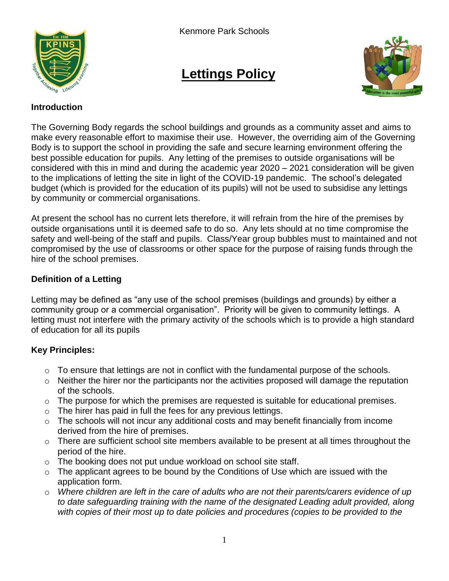

# **Lettings Policy**



#### **Introduction**

The Governing Body regards the school buildings and grounds as a community asset and aims to make every reasonable effort to maximise their use. However, the overriding aim of the Governing Body is to support the school in providing the safe and secure learning environment offering the best possible education for pupils. Any letting of the premises to outside organisations will be considered with this in mind and during the academic year 2020 – 2021 consideration will be given to the implications of letting the site in light of the COVID-19 pandemic. The school's delegated budget (which is provided for the education of its pupils) will not be used to subsidise any lettings by community or commercial organisations.

At present the school has no current lets therefore, it will refrain from the hire of the premises by outside organisations until it is deemed safe to do so. Any lets should at no time compromise the safety and well-being of the staff and pupils. Class/Year group bubbles must to maintained and not compromised by the use of classrooms or other space for the purpose of raising funds through the hire of the school premises.

## **Definition of a Letting**

Letting may be defined as "any use of the school premises (buildings and grounds) by either a community group or a commercial organisation". Priority will be given to community lettings. A letting must not interfere with the primary activity of the schools which is to provide a high standard of education for all its pupils

## **Key Principles:**

- $\circ$  To ensure that lettings are not in conflict with the fundamental purpose of the schools.
- $\circ$  Neither the hirer nor the participants nor the activities proposed will damage the reputation of the schools.
- $\circ$  The purpose for which the premises are requested is suitable for educational premises.
- $\circ$  The hirer has paid in full the fees for any previous lettings.
- o The schools will not incur any additional costs and may benefit financially from income derived from the hire of premises.
- $\circ$  There are sufficient school site members available to be present at all times throughout the period of the hire.
- o The booking does not put undue workload on school site staff.
- $\circ$  The applicant agrees to be bound by the Conditions of Use which are issued with the application form.
- o *Where children are left in the care of adults who are not their parents/carers evidence of up to date safeguarding training with the name of the designated Leading adult provided, along with copies of their most up to date policies and procedures (copies to be provided to the*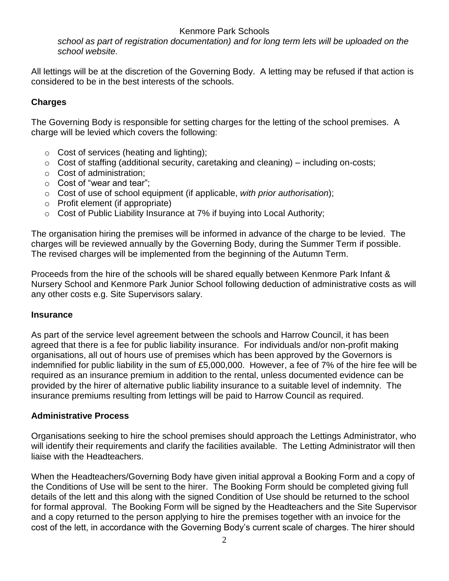## Kenmore Park Schools

*school as part of registration documentation) and for long term lets will be uploaded on the school website.* 

All lettings will be at the discretion of the Governing Body. A letting may be refused if that action is considered to be in the best interests of the schools.

## **Charges**

The Governing Body is responsible for setting charges for the letting of the school premises. A charge will be levied which covers the following:

- $\circ$  Cost of services (heating and lighting);
- $\circ$  Cost of staffing (additional security, caretaking and cleaning) including on-costs;
- o Cost of administration;
- o Cost of "wear and tear";
- o Cost of use of school equipment (if applicable, *with prior authorisation*);
- o Profit element (if appropriate)
- o Cost of Public Liability Insurance at 7% if buying into Local Authority;

The organisation hiring the premises will be informed in advance of the charge to be levied. The charges will be reviewed annually by the Governing Body, during the Summer Term if possible. The revised charges will be implemented from the beginning of the Autumn Term.

Proceeds from the hire of the schools will be shared equally between Kenmore Park Infant & Nursery School and Kenmore Park Junior School following deduction of administrative costs as will any other costs e.g. Site Supervisors salary.

#### **Insurance**

As part of the service level agreement between the schools and Harrow Council, it has been agreed that there is a fee for public liability insurance. For individuals and/or non-profit making organisations, all out of hours use of premises which has been approved by the Governors is indemnified for public liability in the sum of £5,000,000. However, a fee of 7% of the hire fee will be required as an insurance premium in addition to the rental, unless documented evidence can be provided by the hirer of alternative public liability insurance to a suitable level of indemnity. The insurance premiums resulting from lettings will be paid to Harrow Council as required.

#### **Administrative Process**

Organisations seeking to hire the school premises should approach the Lettings Administrator, who will identify their requirements and clarify the facilities available. The Letting Administrator will then liaise with the Headteachers.

When the Headteachers/Governing Body have given initial approval a Booking Form and a copy of the Conditions of Use will be sent to the hirer. The Booking Form should be completed giving full details of the lett and this along with the signed Condition of Use should be returned to the school for formal approval. The Booking Form will be signed by the Headteachers and the Site Supervisor and a copy returned to the person applying to hire the premises together with an invoice for the cost of the lett, in accordance with the Governing Body's current scale of charges. The hirer should